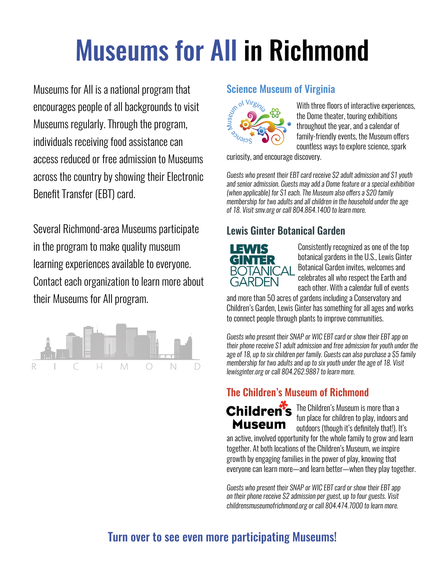# Museums for All in Richmond

Museums for All is a national program that encourages people of all backgrounds to visit Museums regularly. Through the program, individuals receiving food assistance can access reduced or free admission to Museums across the country by showing their Electronic Benefit Transfer (EBT) card.

Several Richmond-area Museums participate in the program to make quality museum learning experiences available to everyone. Contact each organization to learn more about their Museums for All program.



#### Science Museum of Virginia



With three floors of interactive experiences, the Dome theater, touring exhibitions throughout the year, and a calendar of family-friendly events, the Museum offers countless ways to explore science, spark

curiosity, and encourage discovery.

*Guests who present their EBT card receive \$2 adult admission and \$1 youth and senior admission. Guests may add a Dome feature or a special exhibition (when applicable) for \$1 each. The Museum also offers a \$20 family membership for two adults and all children in the household under the age of 18. Visit smv.org or call 804.864.1400 to learn more.* 

# Lewis Ginter Botanical Garden



Consistently recognized as one of the top botanical gardens in the U.S., Lewis Ginter Botanical Garden invites, welcomes and celebrates all who respect the Earth and each other. With a calendar full of events

and more than 50 acres of gardens including a Conservatory and Children's Garden, Lewis Ginter has something for all ages and works to connect people through plants to improve communities.

*Guests who present their SNAP or WIC EBT card or show their EBT app on their phone receive \$1 adult admission and free admission for youth under the age of 18, up to six children per family. Guests can also purchase a \$5 family membership for two adults and up to six youth under the age of 18. Visit lewisginter.org or call 804.262.9887 to learn more.* 

# The Children's Museum of Richmond



Children's The Children's Museum is more than a fun place for children to play, indoors and outdoors (though it's definitely that!). It's

an active, involved opportunity for the whole family to grow and learn together. At both locations of the Children's Museum, we inspire growth by engaging families in the power of play, knowing that everyone can learn more—and learn better—when they play together.

*Guests who present their SNAP or WIC EBT card or show their EBT app on their phone receive \$2 admission per guest, up to four guests. Visit childrensmuseumofrichmond.org or call 804.474.7000 to learn more.*

# Turn over to see even more participating Museums!